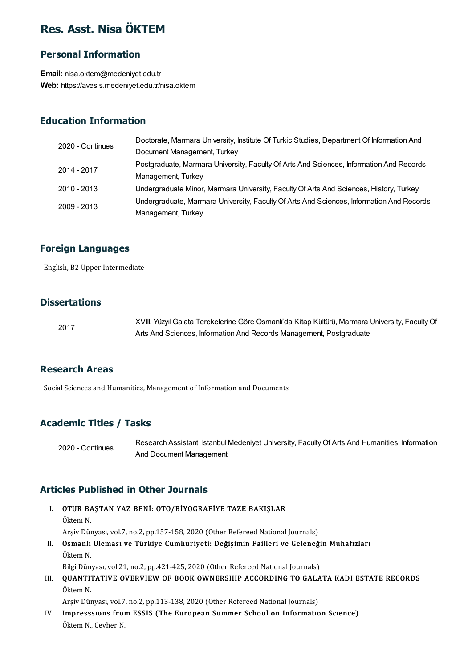# Res. Asst. Nisa ÖKTEM

#### Personal Information

Email: nisa.oktem@medeniyet.edu.tr Web: https://avesis.medeniyet.edu.tr/nisa.oktem

#### Education Information

| 2020 - Continues | Doctorate, Marmara University, Institute Of Turkic Studies, Department Of Information And |
|------------------|-------------------------------------------------------------------------------------------|
|                  | Document Management, Turkey                                                               |
| 2014 - 2017      | Postgraduate, Marmara University, Faculty Of Arts And Sciences, Information And Records   |
|                  | Management, Turkey                                                                        |
| $2010 - 2013$    | Undergraduate Minor, Marmara University, Faculty Of Arts And Sciences, History, Turkey    |
| 2009 - 2013      | Undergraduate, Marmara University, Faculty Of Arts And Sciences, Information And Records  |
|                  | Management, Turkey                                                                        |

# **Foreign Languages**<br>English, B2 Upper Intermediate

#### **Dissertations**

| 2017 | XVIII. Yüzyıl Galata Terekelerine Göre Osmanlı'da Kitap Kültürü, Marmara University, Faculty Of |
|------|-------------------------------------------------------------------------------------------------|
|      | Arts And Sciences, Information And Records Management, Postgraduate                             |

#### Research Areas

Social Sciences and Humanities, Management of Information and Documents

#### Academic Titles / Tasks

2020 - Continues

Research Assistant, Istanbul Medeniyet University, Faculty Of Arts And Humanities, Information And Document Management

#### Articles Published in Other Journals

**ticles Published in Other Journals<br>I. OTUR BAŞTAN YAZ BENİ: OTO/BİYOGRAFİYE TAZE BAKIŞLAR**<br>Öltem N **OTUR BA**<br>Öktem N.<br>Arsiv Döv OTUR BAŞTAN YAZ BENİ: OTO/BİYOGRAFİYE TAZE BAKIŞLAR<br>Öktem N.<br>Arşiv Dünyası, vol.7, no.2, pp.157-158, 2020 (Other Refereed National Journals)<br>Osmanlı Illaması ve Türkiye Cumburiyeti: Değişimin Faillari ve Calaneğ Öktem N.<br>Arşiv Dünyası, vol.7, no.2, pp.157-158, 2020 (Other Refereed National Journals)<br>II. Osmanlı Uleması ve Türkiye Cumhuriyeti: Değişimin Failleri ve Geleneğin Muhafızları<br>Öltem N Arşiv Dür<br>**Osmanlı**<br>Öktem N. Osmanlı Uleması ve Türkiye Cumhuriyeti: Değişimin Failleri ve Geleneği<br>Öktem N.<br>Bilgi Dünyası, vol.21, no.2, pp.421-425, 2020 (Other Refereed National Journals)<br>OUANTITATIVE OVERVIEW OF BOOK OWNERSHIR ACCORDING TO CALA

Öktem N.<br>Bilgi Dünyası, vol.21, no.2, pp.421-425, 2020 (Other Refereed National Journals)<br>III. QUANTITATIVE OVERVIEW OF BOOK OWNERSHIP ACCORDING TO GALATA KADI ESTATE RECORDS<br>Öltem N Bilgi Dün<br>**QUANTI'**<br>Öktem N. QUANTITATIVE OVERVIEW OF BOOK OWNERSHIP ACCORDING TO GALA<br>Öktem N.<br>Arşiv Dünyası, vol.7, no.2, pp.113-138, 2020 (Other Refereed National Journals)<br>Impresesions from ESSIS (The European Summar Sabool on Informatio

Arşiv Dünyası, vol.7, no.2, pp.113-138, 2020 (Other Refereed National Journals)

Öktem N.<br>Arşiv Dünyası, vol.7, no.2, pp.113-138, 2020 (Other Refereed National Journals)<br>IV. Impresssions from ESSIS (The European Summer School on Information Science)<br>Öktem N. Cevher N.